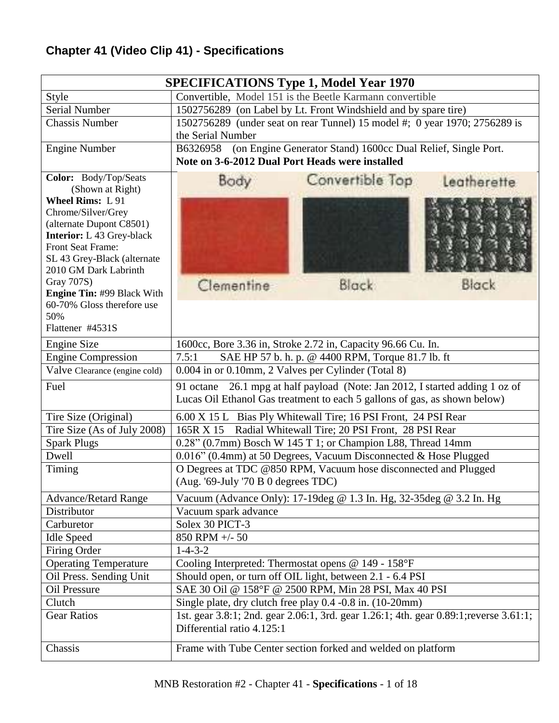## **Chapter 41 (Video Clip 41) - Specifications**

| <b>SPECIFICATIONS Type 1, Model Year 1970</b>                |                                                                                                                                                              |  |  |  |  |  |  |
|--------------------------------------------------------------|--------------------------------------------------------------------------------------------------------------------------------------------------------------|--|--|--|--|--|--|
| Style                                                        | Convertible, Model 151 is the Beetle Karmann convertible                                                                                                     |  |  |  |  |  |  |
| <b>Serial Number</b>                                         | 1502756289 (on Label by Lt. Front Windshield and by spare tire)                                                                                              |  |  |  |  |  |  |
| <b>Chassis Number</b>                                        | 1502756289 (under seat on rear Tunnel) 15 model #; 0 year 1970; 2756289 is                                                                                   |  |  |  |  |  |  |
|                                                              | the Serial Number                                                                                                                                            |  |  |  |  |  |  |
| <b>Engine Number</b>                                         | (on Engine Generator Stand) 1600cc Dual Relief, Single Port.<br>B6326958                                                                                     |  |  |  |  |  |  |
|                                                              | Note on 3-6-2012 Dual Port Heads were installed                                                                                                              |  |  |  |  |  |  |
| Color: Body/Top/Seats                                        | Convertible Top<br>Body<br>Leatherette                                                                                                                       |  |  |  |  |  |  |
| (Shown at Right)                                             |                                                                                                                                                              |  |  |  |  |  |  |
| <b>Wheel Rims: L 91</b>                                      |                                                                                                                                                              |  |  |  |  |  |  |
| Chrome/Silver/Grey                                           |                                                                                                                                                              |  |  |  |  |  |  |
| (alternate Dupont C8501)<br><b>Interior:</b> L 43 Grey-black |                                                                                                                                                              |  |  |  |  |  |  |
| Front Seat Frame:                                            |                                                                                                                                                              |  |  |  |  |  |  |
| SL 43 Grey-Black (alternate                                  |                                                                                                                                                              |  |  |  |  |  |  |
| 2010 GM Dark Labrinth                                        |                                                                                                                                                              |  |  |  |  |  |  |
| Gray 707S)                                                   | Clementine<br>Black<br>Black:                                                                                                                                |  |  |  |  |  |  |
| <b>Engine Tin: #99 Black With</b>                            |                                                                                                                                                              |  |  |  |  |  |  |
| 60-70% Gloss therefore use                                   |                                                                                                                                                              |  |  |  |  |  |  |
| 50%<br>Flattener #4531S                                      |                                                                                                                                                              |  |  |  |  |  |  |
|                                                              |                                                                                                                                                              |  |  |  |  |  |  |
| <b>Engine Size</b>                                           | 1600cc, Bore 3.36 in, Stroke 2.72 in, Capacity 96.66 Cu. In.<br>SAE HP 57 b. h. p. @ 4400 RPM, Torque 81.7 lb. ft<br>7.5:1                                   |  |  |  |  |  |  |
| <b>Engine Compression</b><br>Valve Clearance (engine cold)   | 0.004 in or 0.10mm, 2 Valves per Cylinder (Total 8)                                                                                                          |  |  |  |  |  |  |
|                                                              |                                                                                                                                                              |  |  |  |  |  |  |
| Fuel                                                         | 26.1 mpg at half payload (Note: Jan 2012, I started adding 1 oz of<br>91 octane<br>Lucas Oil Ethanol Gas treatment to each 5 gallons of gas, as shown below) |  |  |  |  |  |  |
|                                                              |                                                                                                                                                              |  |  |  |  |  |  |
| Tire Size (Original)                                         | 6.00 X 15 L Bias Ply Whitewall Tire; 16 PSI Front, 24 PSI Rear                                                                                               |  |  |  |  |  |  |
| Tire Size (As of July 2008)                                  | Radial Whitewall Tire; 20 PSI Front, 28 PSI Rear<br>165R X 15                                                                                                |  |  |  |  |  |  |
| <b>Spark Plugs</b><br>Dwell                                  | 0.28" (0.7mm) Bosch W 145 T 1; or Champion L88, Thread 14mm                                                                                                  |  |  |  |  |  |  |
|                                                              | 0.016" (0.4mm) at 50 Degrees, Vacuum Disconnected & Hose Plugged                                                                                             |  |  |  |  |  |  |
| Timing                                                       | O Degrees at TDC @850 RPM, Vacuum hose disconnected and Plugged<br>$(Aug. '69$ -July '70 B 0 degrees TDC)                                                    |  |  |  |  |  |  |
|                                                              |                                                                                                                                                              |  |  |  |  |  |  |
| <b>Advance/Retard Range</b><br>Distributor                   | Vacuum (Advance Only): 17-19deg @ 1.3 In. Hg, 32-35deg @ 3.2 In. Hg<br>Vacuum spark advance                                                                  |  |  |  |  |  |  |
| Carburetor                                                   | Solex 30 PICT-3                                                                                                                                              |  |  |  |  |  |  |
| <b>Idle Speed</b>                                            | 850 RPM +/- 50                                                                                                                                               |  |  |  |  |  |  |
| Firing Order                                                 | $1 - 4 - 3 - 2$                                                                                                                                              |  |  |  |  |  |  |
| <b>Operating Temperature</b>                                 | Cooling Interpreted: Thermostat opens @ 149 - 158°F                                                                                                          |  |  |  |  |  |  |
| Oil Press. Sending Unit                                      | Should open, or turn off OIL light, between 2.1 - 6.4 PSI                                                                                                    |  |  |  |  |  |  |
| Oil Pressure                                                 | SAE 30 Oil @ 158°F @ 2500 RPM, Min 28 PSI, Max 40 PSI                                                                                                        |  |  |  |  |  |  |
| Clutch                                                       | Single plate, dry clutch free play 0.4 -0.8 in. (10-20mm)                                                                                                    |  |  |  |  |  |  |
| <b>Gear Ratios</b>                                           | 1st. gear 3.8:1; 2nd. gear 2.06:1, 3rd. gear 1.26:1; 4th. gear 0.89:1; reverse 3.61:1;                                                                       |  |  |  |  |  |  |
|                                                              | Differential ratio 4.125:1                                                                                                                                   |  |  |  |  |  |  |
| Chassis                                                      | Frame with Tube Center section forked and welded on platform                                                                                                 |  |  |  |  |  |  |
|                                                              |                                                                                                                                                              |  |  |  |  |  |  |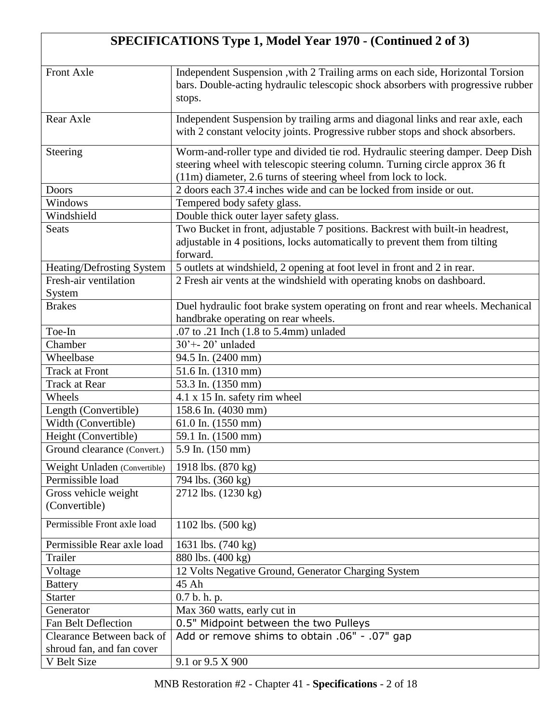## **SPECIFICATIONS Type 1, Model Year 1970 - (Continued 2 of 3)**

| <b>Front Axle</b>            | Independent Suspension , with 2 Trailing arms on each side, Horizontal Torsion<br>bars. Double-acting hydraulic telescopic shock absorbers with progressive rubber<br>stops.                                                    |
|------------------------------|---------------------------------------------------------------------------------------------------------------------------------------------------------------------------------------------------------------------------------|
|                              |                                                                                                                                                                                                                                 |
| Rear Axle                    | Independent Suspension by trailing arms and diagonal links and rear axle, each<br>with 2 constant velocity joints. Progressive rubber stops and shock absorbers.                                                                |
| Steering                     | Worm-and-roller type and divided tie rod. Hydraulic steering damper. Deep Dish<br>steering wheel with telescopic steering column. Turning circle approx 36 ft<br>(11m) diameter, 2.6 turns of steering wheel from lock to lock. |
| Doors                        | 2 doors each 37.4 inches wide and can be locked from inside or out.                                                                                                                                                             |
| Windows                      | Tempered body safety glass.                                                                                                                                                                                                     |
| Windshield                   | Double thick outer layer safety glass.                                                                                                                                                                                          |
| <b>Seats</b>                 | Two Bucket in front, adjustable 7 positions. Backrest with built-in headrest,                                                                                                                                                   |
|                              | adjustable in 4 positions, locks automatically to prevent them from tilting<br>forward.                                                                                                                                         |
| Heating/Defrosting System    | 5 outlets at windshield, 2 opening at foot level in front and 2 in rear.                                                                                                                                                        |
| Fresh-air ventilation        | 2 Fresh air vents at the windshield with operating knobs on dashboard.                                                                                                                                                          |
| System                       |                                                                                                                                                                                                                                 |
| <b>Brakes</b>                | Duel hydraulic foot brake system operating on front and rear wheels. Mechanical                                                                                                                                                 |
|                              | handbrake operating on rear wheels.                                                                                                                                                                                             |
| Toe-In                       | .07 to .21 Inch (1.8 to 5.4mm) unladed                                                                                                                                                                                          |
| Chamber                      | $30' + -20'$ unladed                                                                                                                                                                                                            |
| Wheelbase                    | 94.5 In. (2400 mm)                                                                                                                                                                                                              |
| <b>Track at Front</b>        | 51.6 In. (1310 mm)                                                                                                                                                                                                              |
| <b>Track at Rear</b>         | 53.3 In. (1350 mm)                                                                                                                                                                                                              |
| Wheels                       | 4.1 x 15 In. safety rim wheel                                                                                                                                                                                                   |
| Length (Convertible)         | 158.6 In. (4030 mm)                                                                                                                                                                                                             |
| Width (Convertible)          | 61.0 In. $(1550 \text{ mm})$                                                                                                                                                                                                    |
| Height (Convertible)         | 59.1 In. (1500 mm)                                                                                                                                                                                                              |
| Ground clearance (Convert.)  | 5.9 In. (150 mm)                                                                                                                                                                                                                |
|                              |                                                                                                                                                                                                                                 |
| Weight Unladen (Convertible) | 1918 lbs. (870 kg)                                                                                                                                                                                                              |
| Permissible load             | 794 lbs. (360 kg)                                                                                                                                                                                                               |
| Gross vehicle weight         | 2712 lbs. (1230 kg)                                                                                                                                                                                                             |
| (Convertible)                |                                                                                                                                                                                                                                 |
| Permissible Front axle load  | 1102 lbs. (500 kg)                                                                                                                                                                                                              |
| Permissible Rear axle load   | 1631 lbs. (740 kg)                                                                                                                                                                                                              |
| Trailer                      | 880 lbs. (400 kg)                                                                                                                                                                                                               |
| Voltage                      | 12 Volts Negative Ground, Generator Charging System                                                                                                                                                                             |
| <b>Battery</b>               | 45 Ah                                                                                                                                                                                                                           |
| <b>Starter</b>               | 0.7 b. h. p.                                                                                                                                                                                                                    |
| Generator                    | Max 360 watts, early cut in                                                                                                                                                                                                     |
| <b>Fan Belt Deflection</b>   | 0.5" Midpoint between the two Pulleys                                                                                                                                                                                           |
| Clearance Between back of    | Add or remove shims to obtain .06" - .07" gap                                                                                                                                                                                   |
| shroud fan, and fan cover    |                                                                                                                                                                                                                                 |
| V Belt Size                  | 9.1 or 9.5 X 900                                                                                                                                                                                                                |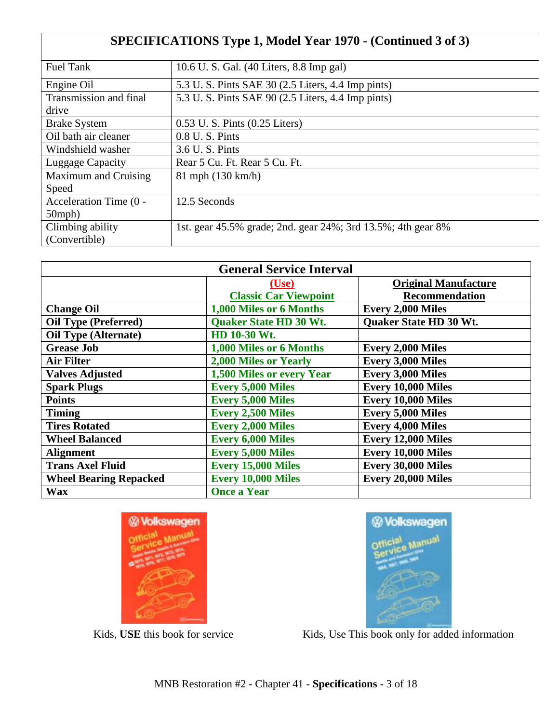| <b>SPECIFICATIONS Type 1, Model Year 1970 - (Continued 3 of 3)</b> |                                                              |  |  |  |  |
|--------------------------------------------------------------------|--------------------------------------------------------------|--|--|--|--|
| <b>Fuel Tank</b>                                                   | 10.6 U. S. Gal. (40 Liters, 8.8 Imp gal)                     |  |  |  |  |
| Engine Oil                                                         | 5.3 U. S. Pints SAE 30 (2.5 Liters, 4.4 Imp pints)           |  |  |  |  |
| Transmission and final                                             | 5.3 U. S. Pints SAE 90 (2.5 Liters, 4.4 Imp pints)           |  |  |  |  |
| drive                                                              |                                                              |  |  |  |  |
| <b>Brake System</b>                                                | 0.53 U. S. Pints (0.25 Liters)                               |  |  |  |  |
| Oil bath air cleaner                                               | $0.8$ U.S. Pints                                             |  |  |  |  |
| Windshield washer                                                  | 3.6 U.S. Pints                                               |  |  |  |  |
| Luggage Capacity                                                   | Rear 5 Cu. Ft. Rear 5 Cu. Ft.                                |  |  |  |  |
| Maximum and Cruising                                               | 81 mph (130 km/h)                                            |  |  |  |  |
| Speed                                                              |                                                              |  |  |  |  |
| Acceleration Time (0 -                                             | 12.5 Seconds                                                 |  |  |  |  |
| $50$ mph $)$                                                       |                                                              |  |  |  |  |
| Climbing ability                                                   | 1st. gear 45.5% grade; 2nd. gear 24%; 3rd 13.5%; 4th gear 8% |  |  |  |  |
| (Convertible)                                                      |                                                              |  |  |  |  |

| <b>General Service Interval</b> |                               |                               |  |  |  |  |
|---------------------------------|-------------------------------|-------------------------------|--|--|--|--|
|                                 | ( <b>Use</b> )                | <b>Original Manufacture</b>   |  |  |  |  |
|                                 | <b>Classic Car Viewpoint</b>  | Recommendation                |  |  |  |  |
| <b>Change Oil</b>               | 1,000 Miles or 6 Months       | <b>Every 2,000 Miles</b>      |  |  |  |  |
| <b>Oil Type (Preferred)</b>     | <b>Quaker State HD 30 Wt.</b> | <b>Ouaker State HD 30 Wt.</b> |  |  |  |  |
| <b>Oil Type (Alternate)</b>     | HD 10-30 Wt.                  |                               |  |  |  |  |
| <b>Grease Job</b>               | 1,000 Miles or 6 Months       | <b>Every 2,000 Miles</b>      |  |  |  |  |
| <b>Air Filter</b>               | 2,000 Miles or Yearly         | <b>Every 3,000 Miles</b>      |  |  |  |  |
| <b>Valves Adjusted</b>          | 1,500 Miles or every Year     | <b>Every 3,000 Miles</b>      |  |  |  |  |
| <b>Spark Plugs</b>              | <b>Every 5,000 Miles</b>      | Every 10,000 Miles            |  |  |  |  |
| <b>Points</b>                   | <b>Every 5,000 Miles</b>      | Every 10,000 Miles            |  |  |  |  |
| <b>Timing</b>                   | <b>Every 2,500 Miles</b>      | <b>Every 5,000 Miles</b>      |  |  |  |  |
| <b>Tires Rotated</b>            | <b>Every 2,000 Miles</b>      | <b>Every 4,000 Miles</b>      |  |  |  |  |
| <b>Wheel Balanced</b>           | <b>Every 6,000 Miles</b>      | Every 12,000 Miles            |  |  |  |  |
| <b>Alignment</b>                | <b>Every 5,000 Miles</b>      | Every 10,000 Miles            |  |  |  |  |
| <b>Trans Axel Fluid</b>         | <b>Every 15,000 Miles</b>     | Every 30,000 Miles            |  |  |  |  |
| <b>Wheel Bearing Repacked</b>   | <b>Every 10,000 Miles</b>     | Every 20,000 Miles            |  |  |  |  |
| <b>Wax</b>                      | <b>Once a Year</b>            |                               |  |  |  |  |





Kids, USE this book for service Kids, Use This book only for added information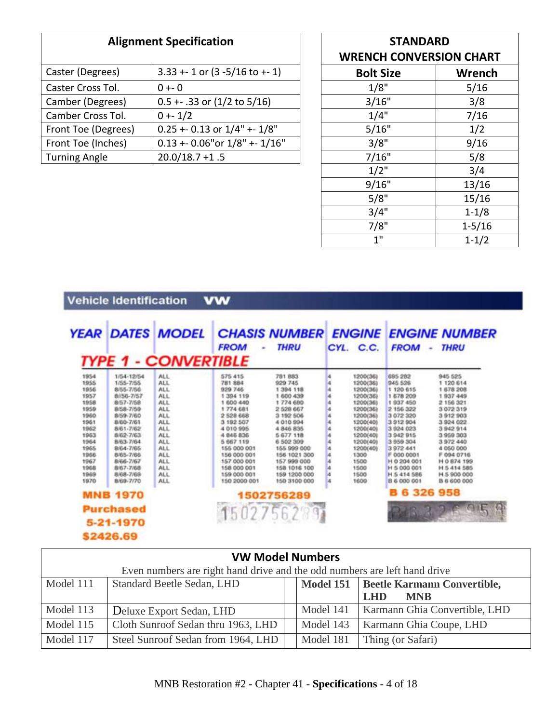| <b>Alignment Specification</b>                       |                                         | <b>STANDARD</b><br><b>WRENCH CONVERSION CHART</b> |        |
|------------------------------------------------------|-----------------------------------------|---------------------------------------------------|--------|
| Caster (Degrees)                                     | $3.33 + 1$ or $(3 -5/16$ to $+1)$       | <b>Bolt Size</b>                                  | Wrench |
| Caster Cross Tol.<br>$0 + -0$                        |                                         | 1/8"                                              | 5/16   |
| $0.5 + .33$ or $(1/2$ to $5/16)$<br>Camber (Degrees) |                                         | 3/16"                                             | 3/8    |
| Camber Cross Tol.                                    | $0 + 1/2$                               | 1/4"                                              | 7/16   |
| Front Toe (Degrees)                                  | $0.25 + 0.13$ or $1/4" + 1/8"$          | 5/16"                                             | 1/2    |
| Front Toe (Inches)                                   | $0.13 + 0.06$ " or $1/8$ " + - $1/16$ " | 3/8"                                              | 9/16   |
| $20.0/18.7 + 1.5$<br><b>Turning Angle</b>            |                                         | 7/16"                                             | 5/8    |

| <b>STANDARD</b>                  |  |  |  |  |
|----------------------------------|--|--|--|--|
| <b>WRENCH CONVERSION CHART</b>   |  |  |  |  |
| <b><i>Mussach</i></b><br>$D = L$ |  |  |  |  |

| <b>Bolt Size</b> | Wrench     |
|------------------|------------|
| 1/8"             | 5/16       |
| 3/16"            | 3/8        |
| 1/4"             | 7/16       |
| 5/16"            | 1/2        |
| 3/8"             | 9/16       |
| 7/16"            | 5/8        |
| $1/2$ "          | 3/4        |
| 9/16"            | 13/16      |
| 5/8"             | 15/16      |
| 3/4"             | $1 - 1/8$  |
| 7/8"             | $1 - 5/16$ |
| 1"               | $1 - 1/2$  |

## Vehicle Identification **vw**

|      |                  | <b>YEAR DATES MODEL</b>     | <b>FROM</b>    | <b>CHASIS NUMBER</b><br><b>THRU</b> | <b>ENGINE</b><br>CYL. C.C. | <b>FROM</b><br>۰   | <b>ENGINE NUMBER</b><br><b>THRU</b> |
|------|------------------|-----------------------------|----------------|-------------------------------------|----------------------------|--------------------|-------------------------------------|
|      |                  | <b>TYPE 1 - CONVERTIBLE</b> |                |                                     |                            |                    |                                     |
| 1954 | 1/54-12/54       | <b>ALL</b>                  | 575 415        | 781 883                             | 1200(36)                   | 695 282            | 945 525                             |
| 1955 | 1/55-7/55        | ALL.                        | <b>781 884</b> | 929 745                             | 1200(36)                   | 945 526            | 1 120 614                           |
| 1956 | 8/55-7/56        | ALL.                        | 929 746        | 1 394 118                           | 1200(36)                   | 1 120 615          | 1 678 208                           |
| 1957 | 8/56-7/57        | <b>ALL</b>                  | 1 394 119      | 1 600 439                           | 1200(36)                   | 1 678 209          | 1937 449                            |
| 1958 | 8/57-7/58        | ALL.                        | 1 600 440      | 1774 680                            | 1200(36)                   | 1937 450           | 2 156 321                           |
| 1959 | 8/58-7/59        | <b>ALL</b>                  | 1774 681       | 2 528 667                           | 1200(36)                   | 2 156 322          | 3 072 319                           |
| 1960 | 8/59-7/60        | <b>ALL</b>                  | 2 528 668      | 3 192 506                           | 1200(36)                   | 3 072 320          | 3912903                             |
| 1961 | 8/60-7/61        | <b>ALL</b>                  | 3 192 507      | 4010994                             | 1200(40)                   | 3912904            | 3 924 022                           |
| 1962 | 8/61-7/62        | ALL.                        | 4010995        | 4 846 835                           | 1200(40)                   | 3 924 023          | 3942914                             |
| 1963 | 8/62-7/63        | <b>ALL</b>                  | 4 846 836      | 5 677 118                           | 1200(40)                   | 3942915            | 3959303                             |
| 1964 | 8/63-7/64        | ALL.                        | 5 667 119      | 6 502 399                           | 1200(40)                   | 3 959 304          | 3972440                             |
| 1965 | 8/64-7/65        | ALL.                        | 155 000 001    | 155 999 000                         | 1200(40)                   | 3972441            | 4 050 000                           |
| 1966 | 8/65-7/66        | <b>ALL</b>                  | 156 000 001    | 156 1021 300                        | 1300                       | F 000 0001         | F 094 0716                          |
| 1967 | 8/66-7/67        | ALL.                        | 157 000 001    | 157.999.000                         | 1500                       | H 0 204 001        | H 0 874 199                         |
| 1968 | 8/67-7/68        | ALL.                        | 158 000 001    | 158 1016 100                        | 1500                       | H 5 000 001        | H 5 414 585                         |
| 1969 | 8/68-7/69        | ALL.                        | 159 000 001    | 159 1200 000                        | 1500                       | H 5 414 586        | H 5 900 000                         |
| 1970 | 8/69-7/70        | ALL.                        | 150 2000 001   | 150 3100 000                        | 1600                       | 8 6 000 001        | B 6 600 000                         |
|      | <b>MNB 1970</b>  |                             |                | 1502756289                          |                            | <b>B 6 326 958</b> |                                     |
|      | <b>Purchased</b> |                             |                |                                     |                            |                    |                                     |
|      |                  |                             |                | 15027562991                         |                            |                    |                                     |
|      | 5-21-1970        |                             |                |                                     |                            |                    |                                     |
|      | \$2426.69        |                             |                |                                     |                            |                    |                                     |

| <b>VW Model Numbers</b> |                                                                           |           |                               |  |  |  |  |
|-------------------------|---------------------------------------------------------------------------|-----------|-------------------------------|--|--|--|--|
|                         | Even numbers are right hand drive and the odd numbers are left hand drive |           |                               |  |  |  |  |
| Model 111               | Standard Beetle Sedan, LHD<br>Model 151   Beetle Karmann Convertible,     |           |                               |  |  |  |  |
|                         | <b>LHD</b><br><b>MNB</b>                                                  |           |                               |  |  |  |  |
| Model 113               | Deluxe Export Sedan, LHD                                                  | Model 141 | Karmann Ghia Convertible, LHD |  |  |  |  |
| Model 115               | Cloth Sunroof Sedan thru 1963, LHD                                        | Model 143 | Karmann Ghia Coupe, LHD       |  |  |  |  |
| Model 117               | Steel Sunroof Sedan from 1964, LHD                                        | Model 181 | Thing (or Safari)             |  |  |  |  |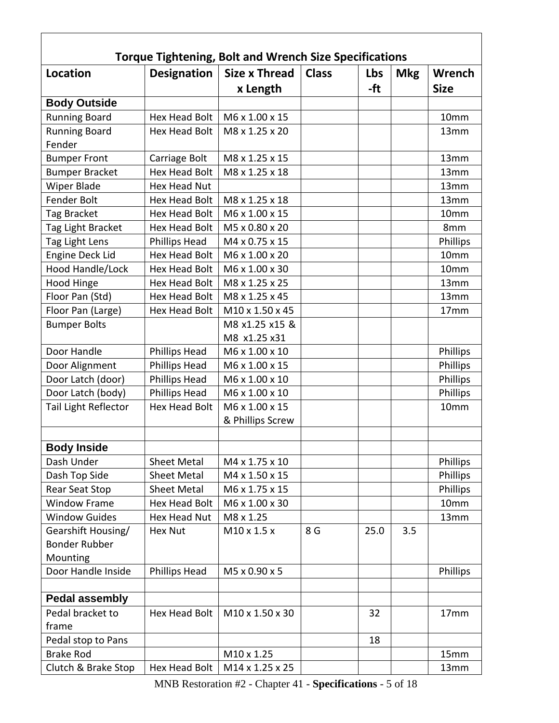| <b>Torque Tightening, Bolt and Wrench Size Specifications</b> |                      |                             |              |      |            |                  |  |
|---------------------------------------------------------------|----------------------|-----------------------------|--------------|------|------------|------------------|--|
| <b>Location</b>                                               | <b>Designation</b>   | <b>Size x Thread</b>        | <b>Class</b> | Lbs  | <b>Mkg</b> | Wrench           |  |
|                                                               |                      | x Length                    |              | -ft  |            | <b>Size</b>      |  |
| <b>Body Outside</b>                                           |                      |                             |              |      |            |                  |  |
| <b>Running Board</b>                                          | <b>Hex Head Bolt</b> | M6 x 1.00 x 15              |              |      |            | 10mm             |  |
| <b>Running Board</b>                                          | <b>Hex Head Bolt</b> | M8 x 1.25 x 20              |              |      |            | 13mm             |  |
| Fender                                                        |                      |                             |              |      |            |                  |  |
| <b>Bumper Front</b>                                           | Carriage Bolt        | M8 x 1.25 x 15              |              |      |            | 13mm             |  |
| <b>Bumper Bracket</b>                                         | <b>Hex Head Bolt</b> | M8 x 1.25 x 18              |              |      |            | 13mm             |  |
| Wiper Blade                                                   | Hex Head Nut         |                             |              |      |            | 13mm             |  |
| Fender Bolt                                                   | Hex Head Bolt        | M8 x 1.25 x 18              |              |      |            | 13mm             |  |
| Tag Bracket                                                   | Hex Head Bolt        | M6 x 1.00 x 15              |              |      |            | 10mm             |  |
| Tag Light Bracket                                             | Hex Head Bolt        | M5 x 0.80 x 20              |              |      |            | 8mm              |  |
| Tag Light Lens                                                | Phillips Head        | M4 x 0.75 x 15              |              |      |            | Phillips         |  |
| <b>Engine Deck Lid</b>                                        | Hex Head Bolt        | M6 x 1.00 x 20              |              |      |            | 10mm             |  |
| Hood Handle/Lock                                              | <b>Hex Head Bolt</b> | M6 x 1.00 x 30              |              |      |            | 10 <sub>mm</sub> |  |
| Hood Hinge                                                    | <b>Hex Head Bolt</b> | M8 x 1.25 x 25              |              |      |            | 13mm             |  |
| Floor Pan (Std)                                               | <b>Hex Head Bolt</b> | M8 x 1.25 x 45              |              |      |            | 13mm             |  |
| Floor Pan (Large)                                             | Hex Head Bolt        | M <sub>10</sub> x 1.50 x 45 |              |      |            | 17 <sub>mm</sub> |  |
| <b>Bumper Bolts</b>                                           |                      | M8 x1.25 x15 &              |              |      |            |                  |  |
|                                                               |                      | M8 x1.25 x31                |              |      |            |                  |  |
| Door Handle                                                   | <b>Phillips Head</b> | M6 x 1.00 x 10              |              |      |            | Phillips         |  |
| Door Alignment                                                | <b>Phillips Head</b> | M6 x 1.00 x 15              |              |      |            | Phillips         |  |
| Door Latch (door)                                             | Phillips Head        | M6 x 1.00 x 10              |              |      |            | Phillips         |  |
| Door Latch (body)                                             | <b>Phillips Head</b> | M6 x 1.00 x 10              |              |      |            | Phillips         |  |
| Tail Light Reflector                                          | <b>Hex Head Bolt</b> | M6 x 1.00 x 15              |              |      |            | 10mm             |  |
|                                                               |                      | & Phillips Screw            |              |      |            |                  |  |
|                                                               |                      |                             |              |      |            |                  |  |
| <b>Body Inside</b>                                            |                      |                             |              |      |            |                  |  |
| Dash Under                                                    | <b>Sheet Metal</b>   | M4 x 1.75 x 10              |              |      |            | Phillips         |  |
| Dash Top Side                                                 | <b>Sheet Metal</b>   | M4 x 1.50 x 15              |              |      |            | Phillips         |  |
| <b>Rear Seat Stop</b>                                         | <b>Sheet Metal</b>   | M6 x 1.75 x 15              |              |      |            | Phillips         |  |
| <b>Window Frame</b>                                           | <b>Hex Head Bolt</b> | M6 x 1.00 x 30              |              |      |            | 10mm             |  |
| <b>Window Guides</b>                                          | Hex Head Nut         | M8 x 1.25                   |              |      |            | 13mm             |  |
| Gearshift Housing/                                            | <b>Hex Nut</b>       | M10 x 1.5 x                 | 8 G          | 25.0 | 3.5        |                  |  |
| <b>Bonder Rubber</b>                                          |                      |                             |              |      |            |                  |  |
| Mounting                                                      |                      |                             |              |      |            |                  |  |
| Door Handle Inside                                            | Phillips Head        | M5 x 0.90 x 5               |              |      |            | Phillips         |  |
| <b>Pedal assembly</b>                                         |                      |                             |              |      |            |                  |  |
| Pedal bracket to                                              | <b>Hex Head Bolt</b> | M10 x 1.50 x 30             |              | 32   |            | 17mm             |  |
| frame                                                         |                      |                             |              |      |            |                  |  |
| Pedal stop to Pans                                            |                      |                             |              | 18   |            |                  |  |
| <b>Brake Rod</b>                                              |                      | M10 x 1.25                  |              |      |            | 15mm             |  |
| Clutch & Brake Stop                                           | Hex Head Bolt        | M14 x 1.25 x 25             |              |      |            | 13mm             |  |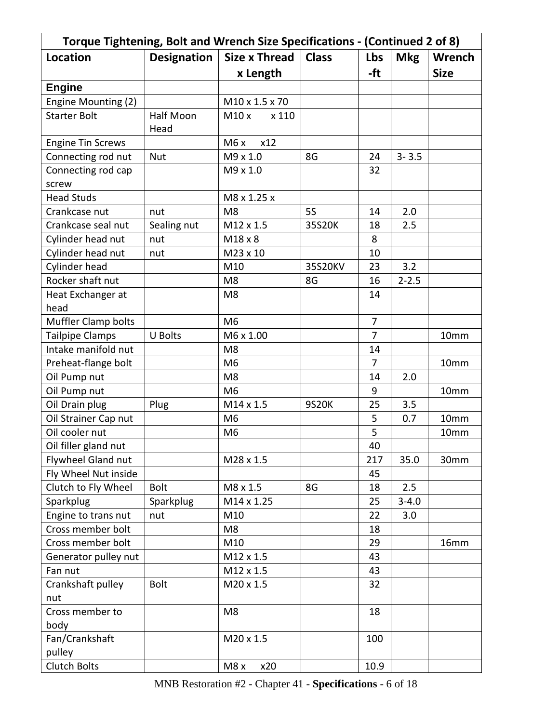| Torque Tightening, Bolt and Wrench Size Specifications - (Continued 2 of 8) |                    |                      |              |                |            |             |  |
|-----------------------------------------------------------------------------|--------------------|----------------------|--------------|----------------|------------|-------------|--|
| <b>Location</b>                                                             | <b>Designation</b> | <b>Size x Thread</b> | <b>Class</b> | Lbs            | <b>Mkg</b> | Wrench      |  |
|                                                                             |                    | x Length             |              | -ft            |            | <b>Size</b> |  |
| <b>Engine</b>                                                               |                    |                      |              |                |            |             |  |
| Engine Mounting (2)                                                         |                    | M10 x 1.5 x 70       |              |                |            |             |  |
| <b>Starter Bolt</b>                                                         | <b>Half Moon</b>   | M10 x<br>x 110       |              |                |            |             |  |
|                                                                             | Head               |                      |              |                |            |             |  |
| <b>Engine Tin Screws</b>                                                    |                    | x12<br>M6x           |              |                |            |             |  |
| Connecting rod nut                                                          | <b>Nut</b>         | M9 x 1.0             | 8G           | 24             | $3 - 3.5$  |             |  |
| Connecting rod cap                                                          |                    | M9 x 1.0             |              | 32             |            |             |  |
| screw                                                                       |                    |                      |              |                |            |             |  |
| <b>Head Studs</b>                                                           |                    | M8 x 1.25 x          |              |                |            |             |  |
| Crankcase nut                                                               | nut                | M <sub>8</sub>       | <b>5S</b>    | 14             | 2.0        |             |  |
| Crankcase seal nut                                                          | Sealing nut        | M12 x 1.5            | 35S20K       | 18             | 2.5        |             |  |
| Cylinder head nut                                                           | nut                | M18 x 8              |              | 8              |            |             |  |
| Cylinder head nut                                                           | nut                | M23 x 10             |              | 10             |            |             |  |
| Cylinder head                                                               |                    | M10                  | 35S20KV      | 23             | 3.2        |             |  |
| Rocker shaft nut                                                            |                    | M <sub>8</sub>       | 8G           | 16             | $2 - 2.5$  |             |  |
| Heat Exchanger at                                                           |                    | M <sub>8</sub>       |              | 14             |            |             |  |
| head                                                                        |                    |                      |              |                |            |             |  |
| <b>Muffler Clamp bolts</b>                                                  |                    | M <sub>6</sub>       |              | $\overline{7}$ |            |             |  |
| <b>Tailpipe Clamps</b>                                                      | <b>U Bolts</b>     | M6 x 1.00            |              | $\overline{7}$ |            | 10mm        |  |
| Intake manifold nut                                                         |                    | M <sub>8</sub>       |              | 14             |            |             |  |
| Preheat-flange bolt                                                         |                    | M <sub>6</sub>       |              | 7              |            | 10mm        |  |
| Oil Pump nut                                                                |                    | M <sub>8</sub>       |              | 14             | 2.0        |             |  |
| Oil Pump nut                                                                |                    | M <sub>6</sub>       |              | 9              |            | 10mm        |  |
| Oil Drain plug                                                              | Plug               | M14 x 1.5            | 9S20K        | 25             | 3.5        |             |  |
| Oil Strainer Cap nut                                                        |                    | M <sub>6</sub>       |              | 5              | 0.7        | 10mm        |  |
| Oil cooler nut                                                              |                    | M <sub>6</sub>       |              | 5              |            | 10mm        |  |
| Oil filler gland nut                                                        |                    |                      |              | 40             |            |             |  |
| Flywheel Gland nut                                                          |                    | M28 x 1.5            |              | 217            | 35.0       | 30mm        |  |
| Fly Wheel Nut inside                                                        |                    |                      |              | 45             |            |             |  |
| Clutch to Fly Wheel                                                         | <b>Bolt</b>        | M8 x 1.5             | 8G           | 18             | 2.5        |             |  |
| Sparkplug                                                                   | Sparkplug          | M14 x 1.25           |              | 25             | $3 - 4.0$  |             |  |
| Engine to trans nut                                                         | nut                | M10                  |              | 22             | 3.0        |             |  |
| Cross member bolt                                                           |                    | M8                   |              | 18             |            |             |  |
| Cross member bolt                                                           |                    | M10                  |              | 29             |            | 16mm        |  |
| Generator pulley nut                                                        |                    | M12 x 1.5            |              | 43             |            |             |  |
| Fan nut                                                                     |                    | M12 x 1.5            |              | 43             |            |             |  |
| Crankshaft pulley                                                           | <b>Bolt</b>        | $M20 \times 1.5$     |              | 32             |            |             |  |
| nut                                                                         |                    |                      |              |                |            |             |  |
| Cross member to                                                             |                    | M <sub>8</sub>       |              | 18             |            |             |  |
| body                                                                        |                    |                      |              |                |            |             |  |
| Fan/Crankshaft                                                              |                    | M20 x 1.5            |              | 100            |            |             |  |
| pulley                                                                      |                    |                      |              |                |            |             |  |
| <b>Clutch Bolts</b>                                                         |                    | M8 x<br>x20          |              | 10.9           |            |             |  |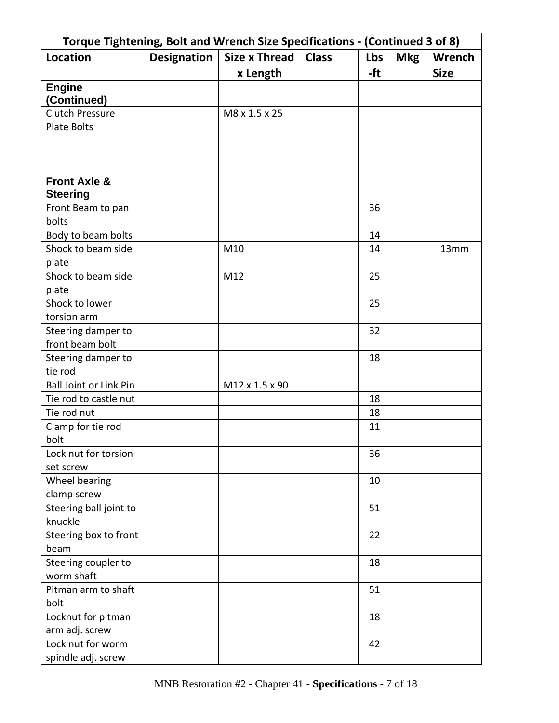| Torque Tightening, Bolt and Wrench Size Specifications - (Continued 3 of 8) |             |                      |              |     |            |               |  |
|-----------------------------------------------------------------------------|-------------|----------------------|--------------|-----|------------|---------------|--|
| <b>Location</b>                                                             | Designation | <b>Size x Thread</b> | <b>Class</b> | Lbs | <b>Mkg</b> | <b>Wrench</b> |  |
|                                                                             |             | x Length             |              | -ft |            | <b>Size</b>   |  |
| <b>Engine</b>                                                               |             |                      |              |     |            |               |  |
| (Continued)                                                                 |             |                      |              |     |            |               |  |
| <b>Clutch Pressure</b>                                                      |             | M8 x 1.5 x 25        |              |     |            |               |  |
| <b>Plate Bolts</b>                                                          |             |                      |              |     |            |               |  |
|                                                                             |             |                      |              |     |            |               |  |
|                                                                             |             |                      |              |     |            |               |  |
|                                                                             |             |                      |              |     |            |               |  |
| <b>Front Axle &amp;</b>                                                     |             |                      |              |     |            |               |  |
| <b>Steering</b>                                                             |             |                      |              |     |            |               |  |
| Front Beam to pan                                                           |             |                      |              | 36  |            |               |  |
| bolts                                                                       |             |                      |              |     |            |               |  |
| Body to beam bolts                                                          |             |                      |              | 14  |            |               |  |
| Shock to beam side                                                          |             | M10                  |              | 14  |            | 13mm          |  |
| plate                                                                       |             |                      |              |     |            |               |  |
| Shock to beam side                                                          |             | M12                  |              | 25  |            |               |  |
| plate                                                                       |             |                      |              |     |            |               |  |
| Shock to lower                                                              |             |                      |              | 25  |            |               |  |
| torsion arm                                                                 |             |                      |              |     |            |               |  |
| Steering damper to                                                          |             |                      |              | 32  |            |               |  |
| front beam bolt                                                             |             |                      |              |     |            |               |  |
| Steering damper to                                                          |             |                      |              | 18  |            |               |  |
| tie rod                                                                     |             |                      |              |     |            |               |  |
| <b>Ball Joint or Link Pin</b>                                               |             | M12 x 1.5 x 90       |              |     |            |               |  |
| Tie rod to castle nut                                                       |             |                      |              | 18  |            |               |  |
| Tie rod nut                                                                 |             |                      |              | 18  |            |               |  |
| Clamp for tie rod                                                           |             |                      |              | 11  |            |               |  |
| bolt                                                                        |             |                      |              |     |            |               |  |
| Lock nut for torsion                                                        |             |                      |              | 36  |            |               |  |
| set screw                                                                   |             |                      |              |     |            |               |  |
| Wheel bearing                                                               |             |                      |              | 10  |            |               |  |
| clamp screw                                                                 |             |                      |              |     |            |               |  |
| Steering ball joint to                                                      |             |                      |              | 51  |            |               |  |
| knuckle                                                                     |             |                      |              |     |            |               |  |
| Steering box to front                                                       |             |                      |              | 22  |            |               |  |
| beam                                                                        |             |                      |              |     |            |               |  |
| Steering coupler to                                                         |             |                      |              | 18  |            |               |  |
| worm shaft                                                                  |             |                      |              |     |            |               |  |
| Pitman arm to shaft                                                         |             |                      |              | 51  |            |               |  |
| bolt                                                                        |             |                      |              |     |            |               |  |
| Locknut for pitman                                                          |             |                      |              | 18  |            |               |  |
| arm adj. screw<br>Lock nut for worm                                         |             |                      |              |     |            |               |  |
|                                                                             |             |                      |              | 42  |            |               |  |
| spindle adj. screw                                                          |             |                      |              |     |            |               |  |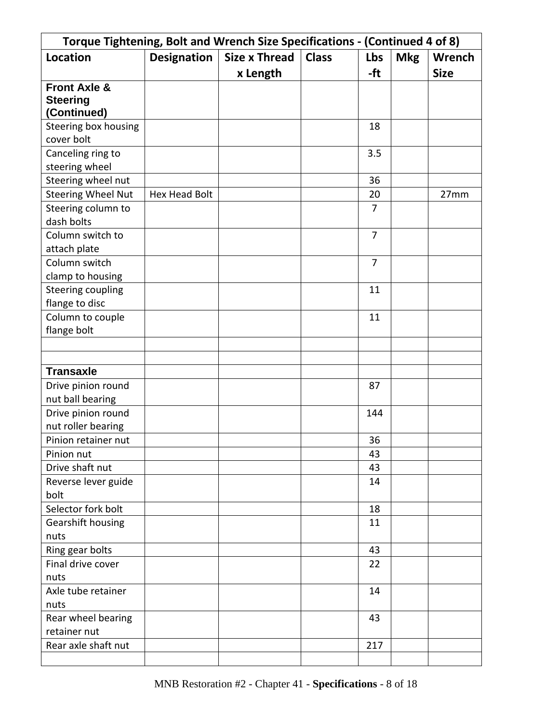| Torque Tightening, Bolt and Wrench Size Specifications - (Continued 4 of 8) |                    |                      |              |                |            |               |
|-----------------------------------------------------------------------------|--------------------|----------------------|--------------|----------------|------------|---------------|
| <b>Location</b>                                                             | <b>Designation</b> | <b>Size x Thread</b> | <b>Class</b> | Lbs            | <b>Mkg</b> | <b>Wrench</b> |
|                                                                             |                    | x Length             |              | -ft            |            | <b>Size</b>   |
| <b>Front Axle &amp;</b>                                                     |                    |                      |              |                |            |               |
| <b>Steering</b>                                                             |                    |                      |              |                |            |               |
| (Continued)                                                                 |                    |                      |              |                |            |               |
| Steering box housing                                                        |                    |                      |              | 18             |            |               |
| cover bolt                                                                  |                    |                      |              |                |            |               |
| Canceling ring to                                                           |                    |                      |              | 3.5            |            |               |
| steering wheel                                                              |                    |                      |              |                |            |               |
| Steering wheel nut                                                          |                    |                      |              | 36             |            |               |
| <b>Steering Wheel Nut</b>                                                   | Hex Head Bolt      |                      |              | 20             |            | 27mm          |
| Steering column to                                                          |                    |                      |              | $\overline{7}$ |            |               |
| dash bolts                                                                  |                    |                      |              |                |            |               |
| Column switch to                                                            |                    |                      |              | $\overline{7}$ |            |               |
| attach plate                                                                |                    |                      |              |                |            |               |
| Column switch                                                               |                    |                      |              | $\overline{7}$ |            |               |
| clamp to housing                                                            |                    |                      |              |                |            |               |
| <b>Steering coupling</b>                                                    |                    |                      |              | 11             |            |               |
| flange to disc                                                              |                    |                      |              |                |            |               |
| Column to couple                                                            |                    |                      |              | 11             |            |               |
| flange bolt                                                                 |                    |                      |              |                |            |               |
|                                                                             |                    |                      |              |                |            |               |
|                                                                             |                    |                      |              |                |            |               |
| <b>Transaxle</b>                                                            |                    |                      |              |                |            |               |
| Drive pinion round                                                          |                    |                      |              | 87             |            |               |
| nut ball bearing                                                            |                    |                      |              |                |            |               |
| Drive pinion round                                                          |                    |                      |              | 144            |            |               |
| nut roller bearing                                                          |                    |                      |              |                |            |               |
| Pinion retainer nut                                                         |                    |                      |              | 36             |            |               |
| Pinion nut                                                                  |                    |                      |              | 43             |            |               |
| Drive shaft nut                                                             |                    |                      |              | 43             |            |               |
| Reverse lever guide                                                         |                    |                      |              | 14             |            |               |
| bolt                                                                        |                    |                      |              |                |            |               |
| Selector fork bolt                                                          |                    |                      |              | 18             |            |               |
| Gearshift housing                                                           |                    |                      |              | 11             |            |               |
| nuts                                                                        |                    |                      |              |                |            |               |
| Ring gear bolts                                                             |                    |                      |              | 43             |            |               |
| Final drive cover                                                           |                    |                      |              | 22             |            |               |
| nuts                                                                        |                    |                      |              |                |            |               |
| Axle tube retainer                                                          |                    |                      |              | 14             |            |               |
| nuts                                                                        |                    |                      |              |                |            |               |
| Rear wheel bearing                                                          |                    |                      |              | 43             |            |               |
| retainer nut                                                                |                    |                      |              |                |            |               |
| Rear axle shaft nut                                                         |                    |                      |              | 217            |            |               |
|                                                                             |                    |                      |              |                |            |               |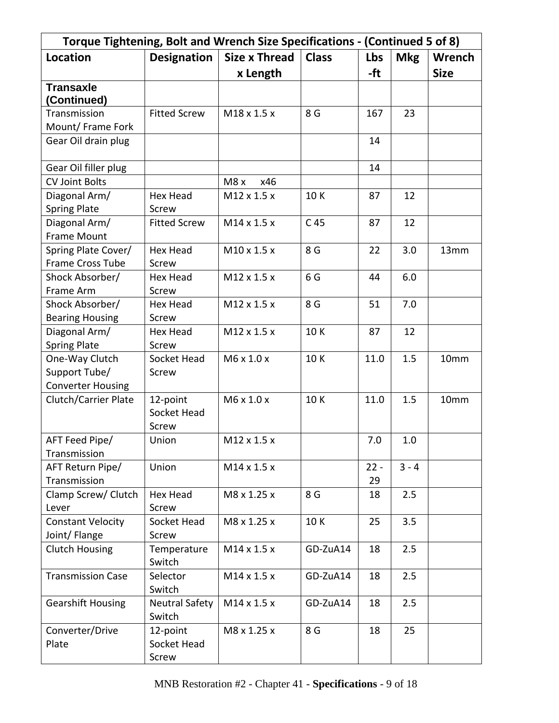| Torque Tightening, Bolt and Wrench Size Specifications - (Continued 5 of 8) |                       |                      |                 |        |            |               |
|-----------------------------------------------------------------------------|-----------------------|----------------------|-----------------|--------|------------|---------------|
| <b>Location</b>                                                             | <b>Designation</b>    | <b>Size x Thread</b> | <b>Class</b>    | Lbs    | <b>Mkg</b> | <b>Wrench</b> |
|                                                                             |                       | x Length             |                 | -ft    |            | <b>Size</b>   |
| <b>Transaxle</b>                                                            |                       |                      |                 |        |            |               |
| <b>Continued)</b>                                                           |                       |                      |                 |        |            |               |
| Transmission                                                                | <b>Fitted Screw</b>   | M18 x 1.5 x          | 8 G             | 167    | 23         |               |
| Mount/ Frame Fork                                                           |                       |                      |                 |        |            |               |
| Gear Oil drain plug                                                         |                       |                      |                 | 14     |            |               |
| Gear Oil filler plug                                                        |                       |                      |                 | 14     |            |               |
| <b>CV Joint Bolts</b>                                                       |                       | M8 x<br>x46          |                 |        |            |               |
| Diagonal Arm/                                                               | <b>Hex Head</b>       | M12 x 1.5 x          | 10K             | 87     | 12         |               |
| <b>Spring Plate</b>                                                         | Screw                 |                      |                 |        |            |               |
| Diagonal Arm/                                                               | <b>Fitted Screw</b>   | M14 x 1.5 x          | C <sub>45</sub> | 87     | 12         |               |
| <b>Frame Mount</b>                                                          |                       |                      |                 |        |            |               |
| Spring Plate Cover/                                                         | <b>Hex Head</b>       | M10 x 1.5 x          | 8 G             | 22     | 3.0        | 13mm          |
| Frame Cross Tube                                                            | Screw                 |                      |                 |        |            |               |
| Shock Absorber/                                                             | <b>Hex Head</b>       | M12 x 1.5 x          | 6G              | 44     | 6.0        |               |
| Frame Arm                                                                   | Screw                 |                      |                 |        |            |               |
| Shock Absorber/                                                             | <b>Hex Head</b>       | M12 x 1.5 x          | 8 G             | 51     | 7.0        |               |
| <b>Bearing Housing</b>                                                      | Screw                 |                      |                 |        |            |               |
| Diagonal Arm/                                                               | <b>Hex Head</b>       | M12 x 1.5 x          | 10K             | 87     | 12         |               |
| <b>Spring Plate</b>                                                         | Screw                 |                      |                 |        |            |               |
| One-Way Clutch                                                              | Socket Head           | M6 x 1.0 x           | 10K             | 11.0   | 1.5        | 10mm          |
| Support Tube/                                                               | Screw                 |                      |                 |        |            |               |
| <b>Converter Housing</b>                                                    |                       |                      |                 |        |            |               |
| Clutch/Carrier Plate                                                        | 12-point              | M6 x 1.0 x           | 10K             | 11.0   | 1.5        | 10mm          |
|                                                                             | Socket Head           |                      |                 |        |            |               |
|                                                                             | Screw                 |                      |                 |        |            |               |
| AFT Feed Pipe/                                                              | Union                 | M12 x 1.5 x          |                 | 7.0    | 1.0        |               |
| Transmission                                                                |                       |                      |                 |        |            |               |
| AFT Return Pipe/                                                            | Union                 | M14 x 1.5 x          |                 | $22 -$ | $3 - 4$    |               |
| Transmission                                                                |                       |                      |                 | 29     |            |               |
| Clamp Screw/ Clutch                                                         | <b>Hex Head</b>       | M8 x 1.25 x          | 8 G             | 18     | 2.5        |               |
| Lever                                                                       | Screw                 |                      |                 |        |            |               |
| <b>Constant Velocity</b>                                                    | Socket Head           | M8 x 1.25 x          | 10K             | 25     | 3.5        |               |
| Joint/ Flange                                                               | Screw                 |                      |                 |        |            |               |
| <b>Clutch Housing</b>                                                       | Temperature<br>Switch | M14 x 1.5 x          | GD-ZuA14        | 18     | 2.5        |               |
| <b>Transmission Case</b>                                                    | Selector              | M14 x 1.5 x          | GD-ZuA14        | 18     | 2.5        |               |
|                                                                             | Switch                |                      |                 |        |            |               |
| <b>Gearshift Housing</b>                                                    | <b>Neutral Safety</b> | M14 x 1.5 x          | GD-ZuA14        | 18     | 2.5        |               |
|                                                                             | Switch                |                      |                 |        |            |               |
| Converter/Drive                                                             | 12-point              | M8 x 1.25 x          | 8 G             | 18     | 25         |               |
| Plate                                                                       | Socket Head           |                      |                 |        |            |               |
|                                                                             | Screw                 |                      |                 |        |            |               |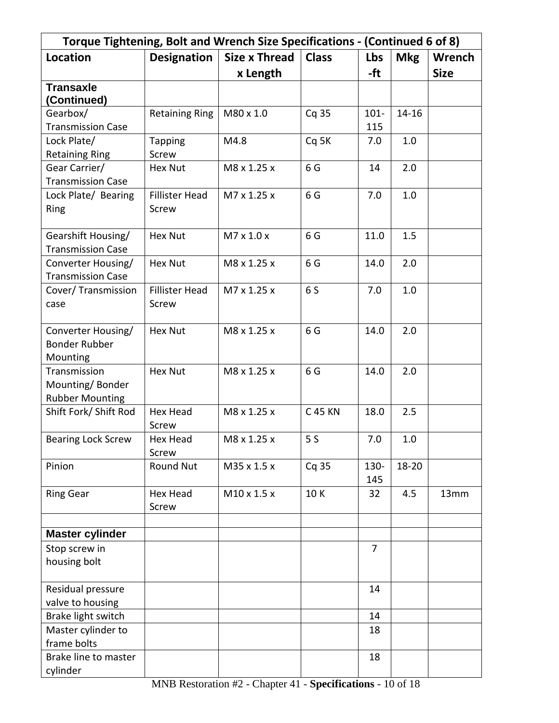| Torque Tightening, Bolt and Wrench Size Specifications - (Continued 6 of 8) |                       |                        |                |                |            |               |
|-----------------------------------------------------------------------------|-----------------------|------------------------|----------------|----------------|------------|---------------|
| <b>Location</b>                                                             | <b>Designation</b>    | <b>Size x Thread</b>   | <b>Class</b>   | Lbs            | <b>Mkg</b> | <b>Wrench</b> |
|                                                                             |                       | x Length               |                | -ft            |            | <b>Size</b>   |
| <b>Transaxle</b>                                                            |                       |                        |                |                |            |               |
| (Continued)                                                                 |                       |                        |                |                |            |               |
| Gearbox/                                                                    | <b>Retaining Ring</b> | M80 x 1.0              | Cq 35          | $101 -$        | $14 - 16$  |               |
| <b>Transmission Case</b>                                                    |                       |                        |                | 115            |            |               |
| Lock Plate/                                                                 | <b>Tapping</b>        | M4.8                   | Cq 5K          | 7.0            | 1.0        |               |
| <b>Retaining Ring</b>                                                       | <b>Screw</b>          |                        |                |                |            |               |
| Gear Carrier/                                                               | <b>Hex Nut</b>        | M8 x 1.25 x            | 6G             | 14             | 2.0        |               |
| <b>Transmission Case</b>                                                    |                       |                        |                |                |            |               |
| Lock Plate/ Bearing                                                         | <b>Fillister Head</b> | M7 x 1.25 x            | 6 G            | 7.0            | 1.0        |               |
| Ring                                                                        | Screw                 |                        |                |                |            |               |
| Gearshift Housing/                                                          | <b>Hex Nut</b>        | $M7 \times 1.0 \times$ | 6 G            | 11.0           | 1.5        |               |
| <b>Transmission Case</b>                                                    |                       |                        |                |                |            |               |
| Converter Housing/                                                          | <b>Hex Nut</b>        | M8 x 1.25 x            | 6 G            | 14.0           | 2.0        |               |
| <b>Transmission Case</b>                                                    |                       |                        |                |                |            |               |
| Cover/ Transmission                                                         | <b>Fillister Head</b> | M7 x 1.25 x            | 6 S            | 7.0            | 1.0        |               |
| case                                                                        | Screw                 |                        |                |                |            |               |
|                                                                             |                       |                        |                |                |            |               |
| Converter Housing/                                                          | <b>Hex Nut</b>        | M8 x 1.25 x            | 6 <sub>G</sub> | 14.0           | 2.0        |               |
| <b>Bonder Rubber</b>                                                        |                       |                        |                |                |            |               |
| Mounting                                                                    |                       |                        |                |                |            |               |
| Transmission                                                                | <b>Hex Nut</b>        | M8 x 1.25 x            | 6 <sub>G</sub> | 14.0           | 2.0        |               |
| Mounting/Bonder                                                             |                       |                        |                |                |            |               |
| <b>Rubber Mounting</b>                                                      |                       |                        |                |                |            |               |
| Shift Fork/ Shift Rod                                                       | <b>Hex Head</b>       | M8 x 1.25 x            | <b>C 45 KN</b> | 18.0           | 2.5        |               |
|                                                                             | Screw                 |                        |                |                |            |               |
| <b>Bearing Lock Screw</b>                                                   | Hex Head              | M8 x 1.25 x            | 5S             | 7.0            | 1.0        |               |
|                                                                             | Screw                 |                        |                |                |            |               |
| Pinion                                                                      | <b>Round Nut</b>      | M35 x 1.5 x            | Cq 35          | 130-           | $18 - 20$  |               |
|                                                                             |                       |                        |                | 145            |            |               |
| <b>Ring Gear</b>                                                            | Hex Head              | M10 x 1.5 x            | 10K            | 32             | 4.5        | 13mm          |
|                                                                             | Screw                 |                        |                |                |            |               |
| <b>Master cylinder</b>                                                      |                       |                        |                |                |            |               |
| Stop screw in                                                               |                       |                        |                | $\overline{7}$ |            |               |
| housing bolt                                                                |                       |                        |                |                |            |               |
|                                                                             |                       |                        |                |                |            |               |
| Residual pressure                                                           |                       |                        |                | 14             |            |               |
| valve to housing                                                            |                       |                        |                |                |            |               |
| Brake light switch                                                          |                       |                        |                | 14             |            |               |
| Master cylinder to                                                          |                       |                        |                | 18             |            |               |
| frame bolts                                                                 |                       |                        |                |                |            |               |
| Brake line to master                                                        |                       |                        |                | 18             |            |               |
| cylinder                                                                    |                       |                        |                |                |            |               |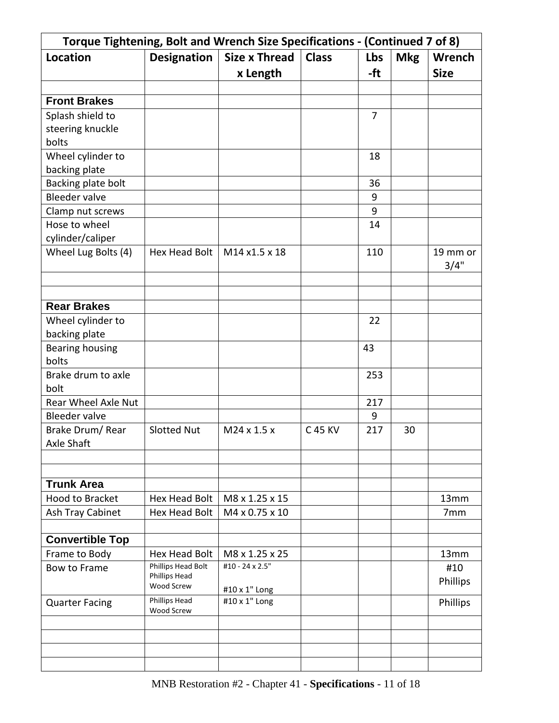|                               | Torque Tightening, Bolt and Wrench Size Specifications - (Continued 7 of 8) |                                |              |                |            |                  |
|-------------------------------|-----------------------------------------------------------------------------|--------------------------------|--------------|----------------|------------|------------------|
| <b>Location</b>               | <b>Designation</b>                                                          | <b>Size x Thread</b>           | <b>Class</b> | Lbs            | <b>Mkg</b> | Wrench           |
|                               |                                                                             | x Length                       |              | -ft            |            | <b>Size</b>      |
|                               |                                                                             |                                |              |                |            |                  |
| <b>Front Brakes</b>           |                                                                             |                                |              |                |            |                  |
| Splash shield to              |                                                                             |                                |              | $\overline{7}$ |            |                  |
| steering knuckle              |                                                                             |                                |              |                |            |                  |
| bolts                         |                                                                             |                                |              |                |            |                  |
| Wheel cylinder to             |                                                                             |                                |              | 18             |            |                  |
| backing plate                 |                                                                             |                                |              |                |            |                  |
| Backing plate bolt            |                                                                             |                                |              | 36             |            |                  |
| <b>Bleeder valve</b>          |                                                                             |                                |              | 9              |            |                  |
| Clamp nut screws              |                                                                             |                                |              | 9              |            |                  |
| Hose to wheel                 |                                                                             |                                |              | 14             |            |                  |
| cylinder/caliper              |                                                                             |                                |              |                |            |                  |
| Wheel Lug Bolts (4)           | Hex Head Bolt                                                               | M14 x1.5 x 18                  |              | 110            |            | 19 mm or<br>3/4" |
|                               |                                                                             |                                |              |                |            |                  |
| <b>Rear Brakes</b>            |                                                                             |                                |              |                |            |                  |
| Wheel cylinder to             |                                                                             |                                |              | 22             |            |                  |
| backing plate                 |                                                                             |                                |              |                |            |                  |
| Bearing housing               |                                                                             |                                |              | 43             |            |                  |
| bolts                         |                                                                             |                                |              |                |            |                  |
| Brake drum to axle            |                                                                             |                                |              | 253            |            |                  |
| bolt                          |                                                                             |                                |              |                |            |                  |
| Rear Wheel Axle Nut           |                                                                             |                                |              | 217            |            |                  |
| <b>Bleeder valve</b>          |                                                                             |                                |              | 9              |            |                  |
| Brake Drum/Rear<br>Axle Shaft | <b>Slotted Nut</b>                                                          | M24 x 1.5 x                    | C 45 KV      | 217            | 30         |                  |
|                               |                                                                             |                                |              |                |            |                  |
| <b>Trunk Area</b>             |                                                                             |                                |              |                |            |                  |
| Hood to Bracket               | Hex Head Bolt                                                               | M8 x 1.25 x 15                 |              |                |            | 13mm             |
| Ash Tray Cabinet              | Hex Head Bolt                                                               | M4 x 0.75 x 10                 |              |                |            | 7 <sub>mm</sub>  |
|                               |                                                                             |                                |              |                |            |                  |
| <b>Convertible Top</b>        |                                                                             |                                |              |                |            |                  |
| Frame to Body                 | <b>Hex Head Bolt</b>                                                        | M8 x 1.25 x 25                 |              |                |            | 13mm             |
| Bow to Frame                  | Phillips Head Bolt<br>Phillips Head<br>Wood Screw                           | #10 - 24 x 2.5"                |              |                |            | #10<br>Phillips  |
| <b>Quarter Facing</b>         | Phillips Head                                                               | #10 x 1" Long<br>#10 x 1" Long |              |                |            | Phillips         |
|                               | <b>Wood Screw</b>                                                           |                                |              |                |            |                  |
|                               |                                                                             |                                |              |                |            |                  |
|                               |                                                                             |                                |              |                |            |                  |
|                               |                                                                             |                                |              |                |            |                  |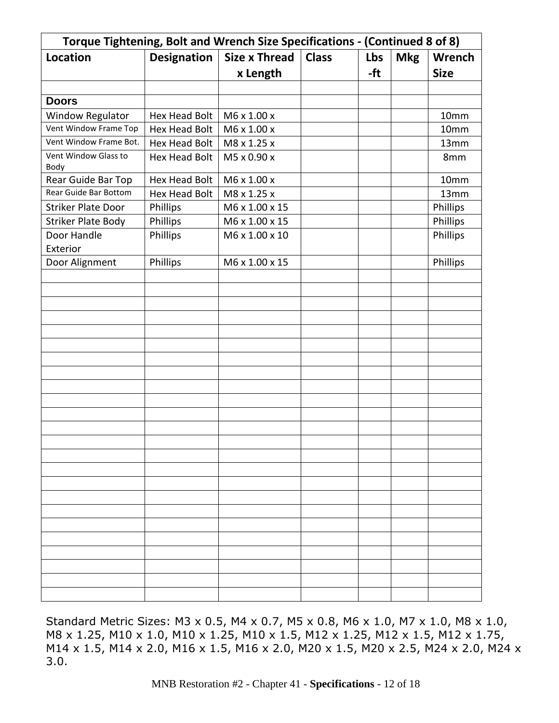| Torque Tightening, Bolt and Wrench Size Specifications - (Continued 8 of 8) |                      |                      |              |     |            |             |
|-----------------------------------------------------------------------------|----------------------|----------------------|--------------|-----|------------|-------------|
| <b>Location</b>                                                             | <b>Designation</b>   | <b>Size x Thread</b> | <b>Class</b> | Lbs | <b>Mkg</b> | Wrench      |
|                                                                             |                      | x Length             |              | -ft |            | <b>Size</b> |
|                                                                             |                      |                      |              |     |            |             |
| <b>Doors</b>                                                                |                      |                      |              |     |            |             |
| <b>Window Regulator</b>                                                     | Hex Head Bolt        | M6 x 1.00 x          |              |     |            | 10mm        |
| Vent Window Frame Top                                                       | <b>Hex Head Bolt</b> | M6 x 1.00 x          |              |     |            | 10mm        |
| Vent Window Frame Bot.                                                      | Hex Head Bolt        | M8 x 1.25 x          |              |     |            | 13mm        |
| Vent Window Glass to<br>Body                                                | <b>Hex Head Bolt</b> | M5 x 0.90 x          |              |     |            | 8mm         |
| Rear Guide Bar Top                                                          | Hex Head Bolt        | M6 x 1.00 x          |              |     |            | 10mm        |
| Rear Guide Bar Bottom                                                       | <b>Hex Head Bolt</b> | M8 x 1.25 x          |              |     |            | 13mm        |
| <b>Striker Plate Door</b>                                                   | Phillips             | M6 x 1.00 x 15       |              |     |            | Phillips    |
| <b>Striker Plate Body</b>                                                   | Phillips             | M6 x 1.00 x 15       |              |     |            | Phillips    |
| Door Handle<br>Exterior                                                     | Phillips             | M6 x 1.00 x 10       |              |     |            | Phillips    |
| Door Alignment                                                              | Phillips             | M6 x 1.00 x 15       |              |     |            | Phillips    |
|                                                                             |                      |                      |              |     |            |             |
|                                                                             |                      |                      |              |     |            |             |
|                                                                             |                      |                      |              |     |            |             |
|                                                                             |                      |                      |              |     |            |             |
|                                                                             |                      |                      |              |     |            |             |
|                                                                             |                      |                      |              |     |            |             |
|                                                                             |                      |                      |              |     |            |             |
|                                                                             |                      |                      |              |     |            |             |
|                                                                             |                      |                      |              |     |            |             |
|                                                                             |                      |                      |              |     |            |             |
|                                                                             |                      |                      |              |     |            |             |
|                                                                             |                      |                      |              |     |            |             |
|                                                                             |                      |                      |              |     |            |             |
|                                                                             |                      |                      |              |     |            |             |
|                                                                             |                      |                      |              |     |            |             |
|                                                                             |                      |                      |              |     |            |             |
|                                                                             |                      |                      |              |     |            |             |
|                                                                             |                      |                      |              |     |            |             |
|                                                                             |                      |                      |              |     |            |             |
|                                                                             |                      |                      |              |     |            |             |
|                                                                             |                      |                      |              |     |            |             |
|                                                                             |                      |                      |              |     |            |             |
|                                                                             |                      |                      |              |     |            |             |
|                                                                             |                      |                      |              |     |            |             |

Standard Metric Sizes: M3 x 0.5, M4 x 0.7, M5 x 0.8, M6 x 1.0, M7 x 1.0, M8 x 1.0, M8 x 1.25, M10 x 1.0, M10 x 1.25, M10 x 1.5, M12 x 1.25, M12 x 1.5, M12 x 1.75, M14 x 1.5, M14 x 2.0, M16 x 1.5, M16 x 2.0, M20 x 1.5, M20 x 2.5, M24 x 2.0, M24 x 3.0.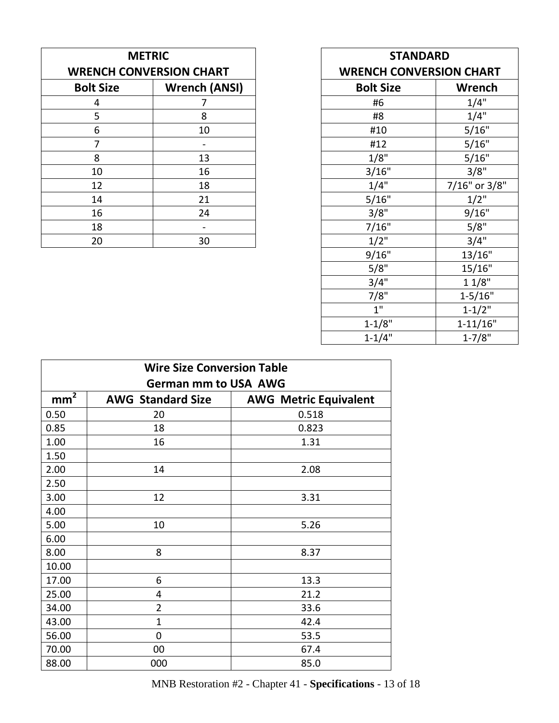| <b>METRIC</b>    |                                | <b>STANDARD</b>                |               |
|------------------|--------------------------------|--------------------------------|---------------|
|                  | <b>WRENCH CONVERSION CHART</b> | <b>WRENCH CONVERSION CHART</b> |               |
| <b>Bolt Size</b> | <b>Wrench (ANSI)</b>           | <b>Bolt Size</b>               | Wrench        |
| 4                | 7                              | #6                             | 1/4"          |
| 5                | 8                              | #8                             | 1/4"          |
| 6                | 10                             | #10                            | 5/16"         |
| 7                |                                | #12                            | 5/16"         |
| 8                | 13                             | 1/8"                           | 5/16"         |
| 10               | 16                             | 3/16"                          | 3/8"          |
| 12               | 18                             | 1/4"                           | $7/16"$ or 3/ |
| 14               | 21                             | 5/16"                          | $1/2$ "       |
| 16               | 24                             | 3/8"                           | 9/16"         |
| 18               |                                | 7/16"                          | 5/8"          |
| 20               | 30                             | $1/2$ "                        | 3/4"          |

| <b>METRIC</b><br><b>NCH CONVERSION CHART</b>                       |                          | <b>STANDARD</b><br><b>WRENCH CONVERSION CHART</b> |               |
|--------------------------------------------------------------------|--------------------------|---------------------------------------------------|---------------|
| t Size                                                             | <b>Wrench (ANSI)</b>     | <b>Bolt Size</b>                                  | <b>Wrench</b> |
| $\overline{4}$                                                     | 7                        | #6                                                | 1/4"          |
| $\overline{\overline{\overline{5}}}$                               | 8                        | #8                                                | 1/4"          |
| $\frac{6}{7}$                                                      | 10                       | #10                                               | 5/16"         |
|                                                                    | $\overline{\phantom{a}}$ | #12                                               | 5/16"         |
|                                                                    | 13                       | 1/8"                                              | 5/16"         |
| $\begin{array}{c}\n 8 \\ \hline\n 10 \\ \hline\n 12\n \end{array}$ | 16                       | 3/16"                                             | 3/8"          |
|                                                                    | 18                       | 1/4"                                              | 7/16" or 3/8" |
| $\frac{14}{16}$                                                    | 21                       | 5/16"                                             | $1/2$ "       |
|                                                                    | 24                       | 3/8"                                              | 9/16"         |
| 18                                                                 |                          | 7/16"                                             | 5/8"          |
| 20                                                                 | 30                       | $1/2$ "                                           | 3/4"          |
|                                                                    |                          | 9/16"                                             | 13/16"        |
|                                                                    |                          | 5/8"                                              | 15/16"        |
|                                                                    |                          | 3/4"                                              | 11/8"         |
|                                                                    |                          | 7/8"                                              | $1 - 5/16"$   |
|                                                                    |                          | 1"                                                | $1 - 1/2"$    |
|                                                                    |                          | $1 - 1/8"$                                        | $1 - 11/16"$  |
|                                                                    |                          | $1 - 1/4"$                                        | $1 - 7/8"$    |

| <b>Wire Size Conversion Table</b> |                             |                              |  |  |  |  |
|-----------------------------------|-----------------------------|------------------------------|--|--|--|--|
|                                   | <b>German mm to USA AWG</b> |                              |  |  |  |  |
| $\frac{mm^2}{\ }$                 | <b>AWG Standard Size</b>    | <b>AWG Metric Equivalent</b> |  |  |  |  |
| 0.50                              | 20                          | 0.518                        |  |  |  |  |
| 0.85                              | 18                          | 0.823                        |  |  |  |  |
| 1.00                              | 16                          | 1.31                         |  |  |  |  |
| 1.50                              |                             |                              |  |  |  |  |
| 2.00                              | 14                          | 2.08                         |  |  |  |  |
| 2.50                              |                             |                              |  |  |  |  |
| 3.00                              | 12                          | 3.31                         |  |  |  |  |
| 4.00                              |                             |                              |  |  |  |  |
| 5.00                              | 10                          | 5.26                         |  |  |  |  |
| 6.00                              |                             |                              |  |  |  |  |
| 8.00                              | 8                           | 8.37                         |  |  |  |  |
| 10.00                             |                             |                              |  |  |  |  |
| 17.00                             | 6                           | 13.3                         |  |  |  |  |
| 25.00                             | 4                           | 21.2                         |  |  |  |  |
| 34.00                             | 2                           | 33.6                         |  |  |  |  |
| 43.00                             | $\mathbf{1}$                | 42.4                         |  |  |  |  |
| 56.00                             | 0                           | 53.5                         |  |  |  |  |
| 70.00                             | 00                          | 67.4                         |  |  |  |  |
| 88.00                             | 000                         | 85.0                         |  |  |  |  |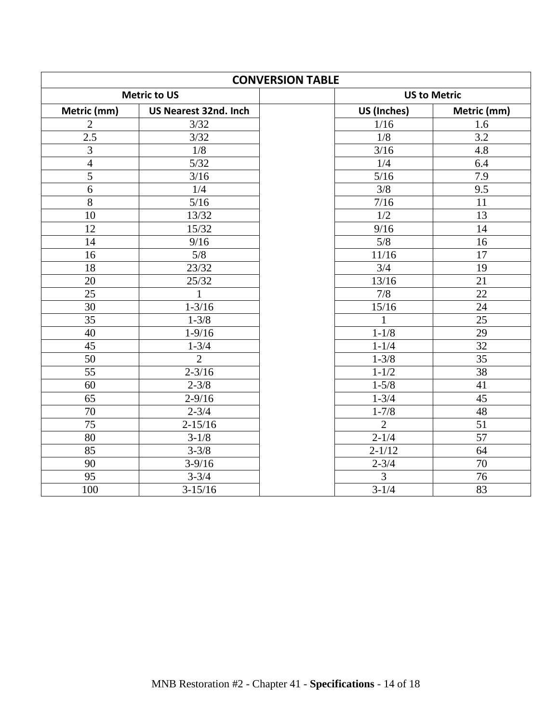| <b>CONVERSION TABLE</b> |                       |                |                     |
|-------------------------|-----------------------|----------------|---------------------|
|                         | <b>Metric to US</b>   |                | <b>US to Metric</b> |
| Metric (mm)             | US Nearest 32nd. Inch | US (Inches)    | Metric (mm)         |
| $\overline{2}$          | 3/32                  | 1/16           | 1.6                 |
| 2.5                     | 3/32                  | 1/8            | 3.2                 |
| 3                       | 1/8                   | $3/16$         | 4.8                 |
| $\overline{4}$          | 5/32                  | 1/4            | 6.4                 |
| $\overline{5}$          | 3/16                  | 5/16           | 7.9                 |
| 6                       | 1/4                   | 3/8            | $\overline{9.5}$    |
| $\overline{8}$          | $\overline{5/16}$     | 7/16           | $\overline{11}$     |
| $\overline{10}$         | 13/32                 | 1/2            | 13                  |
| 12                      | 15/32                 | 9/16           | 14                  |
| 14                      | 9/16                  | 5/8            | 16                  |
| 16                      | $\overline{5/8}$      | 11/16          | $\overline{17}$     |
| 18                      | 23/32                 | 3/4            | 19                  |
| 20                      | 25/32                 | 13/16          | 21                  |
| $\overline{25}$         | $\mathbf{1}$          | 7/8            | $\overline{22}$     |
| $\overline{30}$         | $1 - 3/16$            | 15/16          | 24                  |
| 35                      | $1 - 3/8$             | $\mathbf{1}$   | 25                  |
| 40                      | $1 - 9/16$            | $1 - 1/8$      | 29                  |
| 45                      | $1 - 3/4$             | $1 - 1/4$      | 32                  |
| 50                      | $\overline{2}$        | $1 - 3/8$      | $\overline{35}$     |
| 55                      | $2 - 3/16$            | $1 - 1/2$      | 38                  |
| 60                      | $2 - 3/8$             | $1 - 5/8$      | 41                  |
| $\overline{65}$         | $2 - 9/16$            | $1 - 3/4$      | 45                  |
| 70                      | $2 - 3/4$             | $1 - 7/8$      | 48                  |
| 75                      | $2 - 15/16$           | $\overline{2}$ | 51                  |
| 80                      | $3 - 1/8$             | $2 - 1/4$      | 57                  |
| 85                      | $3 - 3/8$             | $2 - 1/12$     | 64                  |
| 90                      | $3-9/16$              | $2 - 3/4$      | 70                  |
| $\overline{95}$         | $3 - 3/4$             | $\overline{3}$ | 76                  |
| 100                     | $3 - 15/16$           | $3 - 1/4$      | 83                  |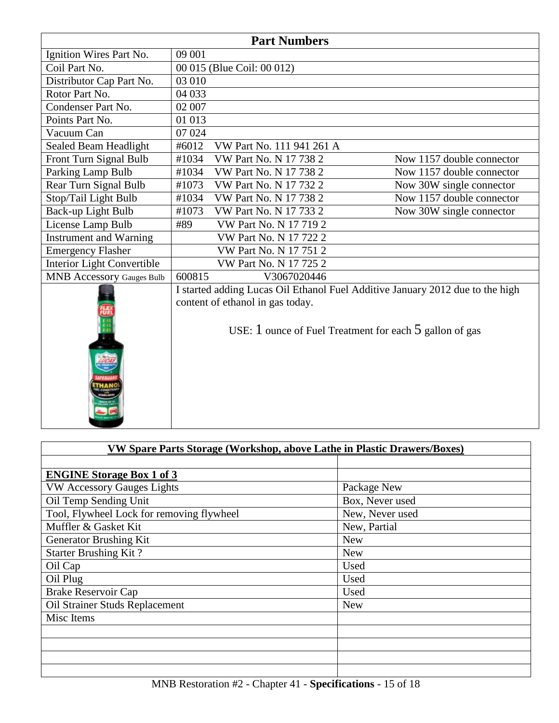| <b>Part Numbers</b>              |                                                                                                                                                                                  |                           |  |  |  |
|----------------------------------|----------------------------------------------------------------------------------------------------------------------------------------------------------------------------------|---------------------------|--|--|--|
| Ignition Wires Part No.          | 09 001                                                                                                                                                                           |                           |  |  |  |
| Coil Part No.                    | 00 015 (Blue Coil: 00 012)                                                                                                                                                       |                           |  |  |  |
| Distributor Cap Part No.         | 03 010                                                                                                                                                                           |                           |  |  |  |
| Rotor Part No.                   | 04 033                                                                                                                                                                           |                           |  |  |  |
| Condenser Part No.               | 02 007                                                                                                                                                                           |                           |  |  |  |
| Points Part No.                  | 01 013                                                                                                                                                                           |                           |  |  |  |
| Vacuum Can                       | 07 024                                                                                                                                                                           |                           |  |  |  |
| Sealed Beam Headlight            | #6012<br>VW Part No. 111 941 261 A                                                                                                                                               |                           |  |  |  |
| Front Turn Signal Bulb           | #1034<br>VW Part No. N 17 738 2                                                                                                                                                  | Now 1157 double connector |  |  |  |
| Parking Lamp Bulb                | #1034<br>VW Part No. N 17 738 2                                                                                                                                                  | Now 1157 double connector |  |  |  |
| Rear Turn Signal Bulb            | #1073<br>VW Part No. N 17 732 2                                                                                                                                                  | Now 30W single connector  |  |  |  |
| Stop/Tail Light Bulb             | #1034<br>VW Part No. N 17 738 2                                                                                                                                                  | Now 1157 double connector |  |  |  |
| Back-up Light Bulb               | #1073<br>VW Part No. N 17 733 2                                                                                                                                                  | Now 30W single connector  |  |  |  |
| License Lamp Bulb                | #89<br>VW Part No. N 17 719 2                                                                                                                                                    |                           |  |  |  |
| Instrument and Warning           | VW Part No. N 17 722 2                                                                                                                                                           |                           |  |  |  |
| <b>Emergency Flasher</b>         | VW Part No. N 17 751 2                                                                                                                                                           |                           |  |  |  |
| Interior Light Convertible       | <b>VW Part No. N 17 725 2</b>                                                                                                                                                    |                           |  |  |  |
| <b>MNB Accessory Gauges Bulb</b> | 600815<br>V3067020446                                                                                                                                                            |                           |  |  |  |
|                                  | I started adding Lucas Oil Ethanol Fuel Additive January 2012 due to the high<br>content of ethanol in gas today.<br>USE: $1$ ounce of Fuel Treatment for each $5$ gallon of gas |                           |  |  |  |

| VW Spare Parts Storage (Workshop, above Lathe in Plastic Drawers/Boxes) |                 |  |  |
|-------------------------------------------------------------------------|-----------------|--|--|
|                                                                         |                 |  |  |
| <b>ENGINE Storage Box 1 of 3</b>                                        |                 |  |  |
| <b>VW Accessory Gauges Lights</b>                                       | Package New     |  |  |
| Oil Temp Sending Unit                                                   | Box, Never used |  |  |
| Tool, Flywheel Lock for removing flywheel                               | New, Never used |  |  |
| Muffler & Gasket Kit                                                    | New, Partial    |  |  |
| Generator Brushing Kit                                                  | <b>New</b>      |  |  |
| <b>Starter Brushing Kit?</b>                                            | <b>New</b>      |  |  |
| Oil Cap                                                                 | Used            |  |  |
| Oil Plug                                                                | Used            |  |  |
| <b>Brake Reservoir Cap</b>                                              | Used            |  |  |
| Oil Strainer Studs Replacement                                          | <b>New</b>      |  |  |
| Misc Items                                                              |                 |  |  |
|                                                                         |                 |  |  |
|                                                                         |                 |  |  |
|                                                                         |                 |  |  |
|                                                                         |                 |  |  |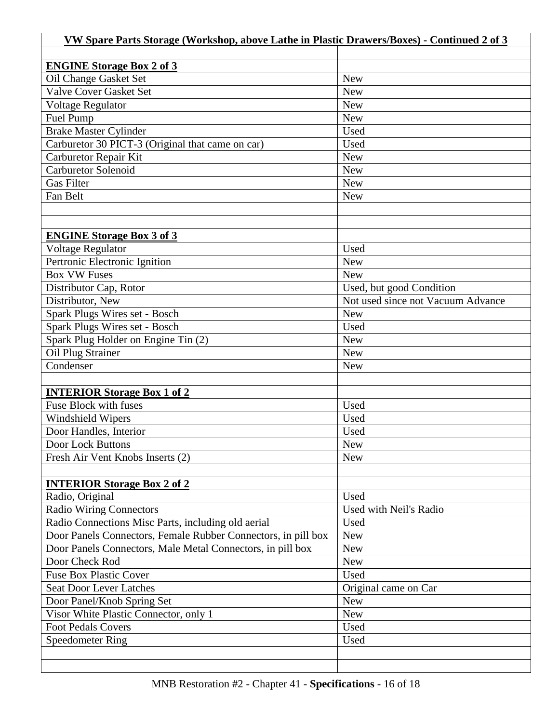| VW Spare Parts Storage (Workshop, above Lathe in Plastic Drawers/Boxes) - Continued 2 of 3 |                                   |  |  |
|--------------------------------------------------------------------------------------------|-----------------------------------|--|--|
|                                                                                            |                                   |  |  |
| <b>ENGINE Storage Box 2 of 3</b>                                                           |                                   |  |  |
| Oil Change Gasket Set                                                                      | <b>New</b>                        |  |  |
| <b>Valve Cover Gasket Set</b>                                                              | <b>New</b>                        |  |  |
| <b>Voltage Regulator</b>                                                                   | <b>New</b>                        |  |  |
| Fuel Pump                                                                                  | <b>New</b>                        |  |  |
| <b>Brake Master Cylinder</b>                                                               | Used                              |  |  |
| Carburetor 30 PICT-3 (Original that came on car)                                           | Used                              |  |  |
| Carburetor Repair Kit                                                                      | <b>New</b>                        |  |  |
| <b>Carburetor Solenoid</b>                                                                 | <b>New</b>                        |  |  |
| <b>Gas Filter</b>                                                                          | <b>New</b>                        |  |  |
| Fan Belt                                                                                   | <b>New</b>                        |  |  |
|                                                                                            |                                   |  |  |
|                                                                                            |                                   |  |  |
| <b>ENGINE Storage Box 3 of 3</b>                                                           |                                   |  |  |
| Voltage Regulator                                                                          | Used                              |  |  |
| Pertronic Electronic Ignition                                                              | <b>New</b>                        |  |  |
| <b>Box VW Fuses</b>                                                                        | <b>New</b>                        |  |  |
| Distributor Cap, Rotor                                                                     | Used, but good Condition          |  |  |
| Distributor, New                                                                           | Not used since not Vacuum Advance |  |  |
| Spark Plugs Wires set - Bosch                                                              | <b>New</b>                        |  |  |
| Spark Plugs Wires set - Bosch                                                              | Used                              |  |  |
| Spark Plug Holder on Engine Tin (2)                                                        | <b>New</b>                        |  |  |
| Oil Plug Strainer                                                                          | <b>New</b>                        |  |  |
| Condenser                                                                                  | <b>New</b>                        |  |  |
|                                                                                            |                                   |  |  |
| <b>INTERIOR Storage Box 1 of 2</b>                                                         |                                   |  |  |
| Fuse Block with fuses                                                                      | Used                              |  |  |
| <b>Windshield Wipers</b>                                                                   | Used                              |  |  |
| Door Handles, Interior                                                                     | Used                              |  |  |
| <b>Door Lock Buttons</b>                                                                   | New                               |  |  |
|                                                                                            |                                   |  |  |
| Fresh Air Vent Knobs Inserts (2)                                                           | <b>New</b>                        |  |  |
|                                                                                            |                                   |  |  |
| <b>INTERIOR Storage Box 2 of 2</b>                                                         |                                   |  |  |
| Radio, Original                                                                            | Used                              |  |  |
| <b>Radio Wiring Connectors</b>                                                             | Used with Neil's Radio            |  |  |
| Radio Connections Misc Parts, including old aerial                                         | Used                              |  |  |
| Door Panels Connectors, Female Rubber Connectors, in pill box                              | <b>New</b>                        |  |  |
| Door Panels Connectors, Male Metal Connectors, in pill box                                 | <b>New</b>                        |  |  |
| Door Check Rod                                                                             | <b>New</b>                        |  |  |
| <b>Fuse Box Plastic Cover</b>                                                              | Used                              |  |  |
| <b>Seat Door Lever Latches</b>                                                             | Original came on Car              |  |  |
| Door Panel/Knob Spring Set                                                                 | <b>New</b>                        |  |  |
| Visor White Plastic Connector, only 1                                                      | <b>New</b>                        |  |  |
| <b>Foot Pedals Covers</b>                                                                  | Used                              |  |  |
| <b>Speedometer Ring</b>                                                                    | Used                              |  |  |
|                                                                                            |                                   |  |  |
|                                                                                            |                                   |  |  |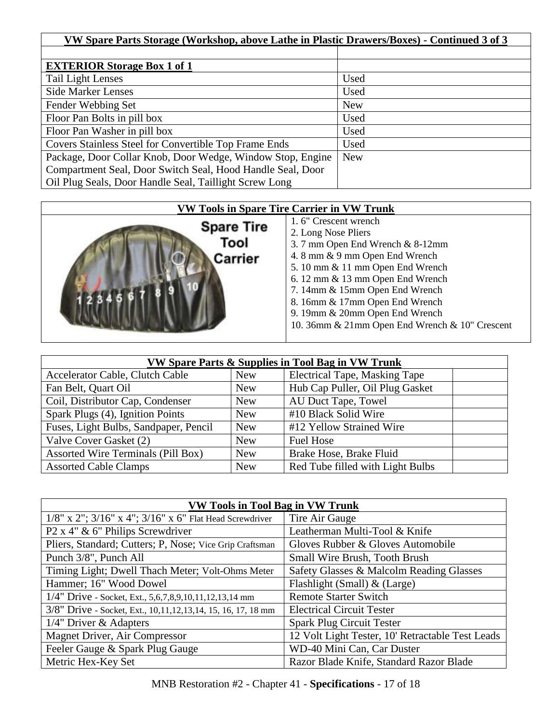| VW Spare Parts Storage (Workshop, above Lathe in Plastic Drawers/Boxes) - Continued 3 of 3 |            |  |
|--------------------------------------------------------------------------------------------|------------|--|
|                                                                                            |            |  |
| <b>EXTERIOR Storage Box 1 of 1</b>                                                         |            |  |
| <b>Tail Light Lenses</b>                                                                   | Used       |  |
| <b>Side Marker Lenses</b>                                                                  | Used       |  |
| Fender Webbing Set                                                                         | <b>New</b> |  |
| Floor Pan Bolts in pill box                                                                | Used       |  |
| Floor Pan Washer in pill box                                                               | Used       |  |
| Covers Stainless Steel for Convertible Top Frame Ends                                      | Used       |  |
| Package, Door Collar Knob, Door Wedge, Window Stop, Engine                                 | <b>New</b> |  |
| Compartment Seal, Door Switch Seal, Hood Handle Seal, Door                                 |            |  |
| Oil Plug Seals, Door Handle Seal, Taillight Screw Long                                     |            |  |

| <b>VW Tools in Spare Tire Carrier in VW Trunk</b> |                                                                                                                                                                                                                                                                                                                                                 |  |
|---------------------------------------------------|-------------------------------------------------------------------------------------------------------------------------------------------------------------------------------------------------------------------------------------------------------------------------------------------------------------------------------------------------|--|
| <b>Spare Tire</b><br>Tool<br>Carrier              | 1.6" Crescent wrench<br>2. Long Nose Pliers<br>3.7 mm Open End Wrench & 8-12mm<br>4.8 mm & 9 mm Open End Wrench<br>5. 10 mm & 11 mm Open End Wrench<br>6. 12 mm & 13 mm Open End Wrench<br>7. 14mm & 15mm Open End Wrench<br>8. 16mm & 17mm Open End Wrench<br>9. 19mm & 20mm Open End Wrench<br>10. 36mm & 21mm Open End Wrench & 10" Crescent |  |

| VW Spare Parts & Supplies in Tool Bag in VW Trunk |            |                                      |
|---------------------------------------------------|------------|--------------------------------------|
| Accelerator Cable, Clutch Cable                   | <b>New</b> | <b>Electrical Tape, Masking Tape</b> |
| Fan Belt, Quart Oil                               | <b>New</b> | Hub Cap Puller, Oil Plug Gasket      |
| Coil, Distributor Cap, Condenser                  | <b>New</b> | AU Duct Tape, Towel                  |
| Spark Plugs (4), Ignition Points                  | <b>New</b> | #10 Black Solid Wire                 |
| Fuses, Light Bulbs, Sandpaper, Pencil             | <b>New</b> | #12 Yellow Strained Wire             |
| Valve Cover Gasket (2)                            | <b>New</b> | <b>Fuel Hose</b>                     |
| Assorted Wire Terminals (Pill Box)                | <b>New</b> | Brake Hose, Brake Fluid              |
| <b>Assorted Cable Clamps</b>                      | <b>New</b> | Red Tube filled with Light Bulbs     |

| <b>VW Tools in Tool Bag in VW Trunk</b>                          |                                                  |  |
|------------------------------------------------------------------|--------------------------------------------------|--|
| $1/8$ " x 2"; $3/16$ " x 4"; $3/16$ " x 6" Flat Head Screwdriver | Tire Air Gauge                                   |  |
| P2 x 4" & 6" Philips Screwdriver                                 | Leatherman Multi-Tool & Knife                    |  |
| Pliers, Standard; Cutters; P, Nose; Vice Grip Craftsman          | Gloves Rubber & Gloves Automobile                |  |
| Punch 3/8", Punch All                                            | Small Wire Brush, Tooth Brush                    |  |
| Timing Light; Dwell Thach Meter; Volt-Ohms Meter                 | Safety Glasses & Malcolm Reading Glasses         |  |
| Hammer; 16" Wood Dowel                                           | Flashlight (Small) & (Large)                     |  |
| 1/4" Drive - Socket, Ext., 5,6,7,8,9,10,11,12,13,14 mm           | <b>Remote Starter Switch</b>                     |  |
| 3/8" Drive - Socket, Ext., 10, 11, 12, 13, 14, 15, 16, 17, 18 mm | <b>Electrical Circuit Tester</b>                 |  |
| $1/4$ " Driver & Adapters                                        | <b>Spark Plug Circuit Tester</b>                 |  |
| Magnet Driver, Air Compressor                                    | 12 Volt Light Tester, 10' Retractable Test Leads |  |
| Feeler Gauge & Spark Plug Gauge                                  | WD-40 Mini Can, Car Duster                       |  |
| Metric Hex-Key Set                                               | Razor Blade Knife, Standard Razor Blade          |  |

MNB Restoration #2 - Chapter 41 - **Specifications** - 17 of 18